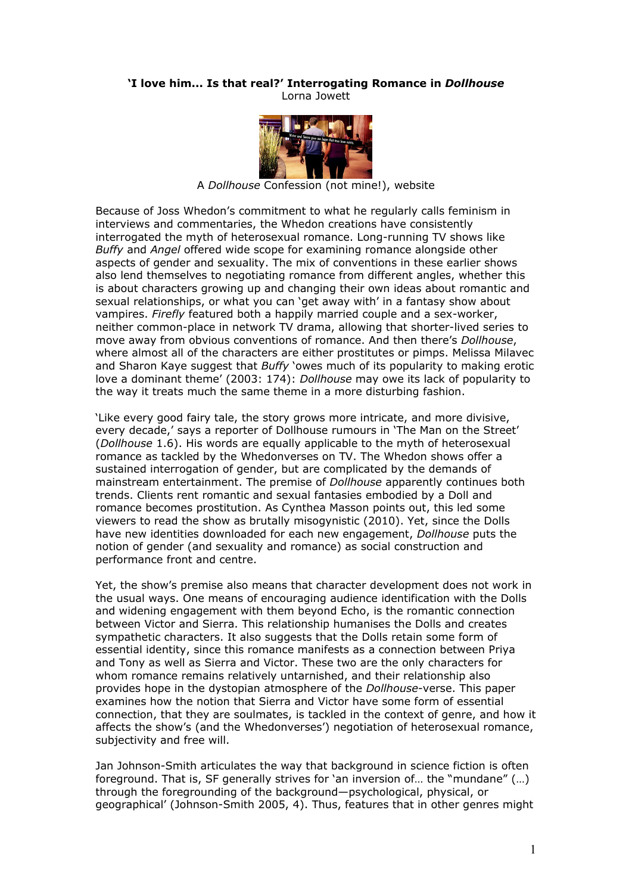## **'I love him... Is that real?' Interrogating Romance in** *Dollhouse* Lorna Jowett



A *Dollhouse* Confession (not mine!), website

Because of Joss Whedon's commitment to what he regularly calls feminism in interviews and commentaries, the Whedon creations have consistently interrogated the myth of heterosexual romance. Long-running TV shows like *Buffy* and *Angel* offered wide scope for examining romance alongside other aspects of gender and sexuality. The mix of conventions in these earlier shows also lend themselves to negotiating romance from different angles, whether this is about characters growing up and changing their own ideas about romantic and sexual relationships, or what you can 'get away with' in a fantasy show about vampires. *Firefly* featured both a happily married couple and a sex-worker, neither common-place in network TV drama, allowing that shorter-lived series to move away from obvious conventions of romance. And then there's *Dollhouse*, where almost all of the characters are either prostitutes or pimps. Melissa Milavec and Sharon Kaye suggest that *Buffy* 'owes much of its popularity to making erotic love a dominant theme' (2003: 174): *Dollhouse* may owe its lack of popularity to the way it treats much the same theme in a more disturbing fashion.

'Like every good fairy tale, the story grows more intricate, and more divisive, every decade,' says a reporter of Dollhouse rumours in 'The Man on the Street' (*Dollhouse* 1.6). His words are equally applicable to the myth of heterosexual romance as tackled by the Whedonverses on TV. The Whedon shows offer a sustained interrogation of gender, but are complicated by the demands of mainstream entertainment. The premise of *Dollhouse* apparently continues both trends. Clients rent romantic and sexual fantasies embodied by a Doll and romance becomes prostitution. As Cynthea Masson points out, this led some viewers to read the show as brutally misogynistic (2010). Yet, since the Dolls have new identities downloaded for each new engagement, *Dollhouse* puts the notion of gender (and sexuality and romance) as social construction and performance front and centre.

Yet, the show's premise also means that character development does not work in the usual ways. One means of encouraging audience identification with the Dolls and widening engagement with them beyond Echo, is the romantic connection between Victor and Sierra. This relationship humanises the Dolls and creates sympathetic characters. It also suggests that the Dolls retain some form of essential identity, since this romance manifests as a connection between Priya and Tony as well as Sierra and Victor. These two are the only characters for whom romance remains relatively untarnished, and their relationship also provides hope in the dystopian atmosphere of the *Dollhouse*-verse. This paper examines how the notion that Sierra and Victor have some form of essential connection, that they are soulmates, is tackled in the context of genre, and how it affects the show's (and the Whedonverses') negotiation of heterosexual romance, subjectivity and free will.

Jan Johnson-Smith articulates the way that background in science fiction is often foreground. That is, SF generally strives for 'an inversion of… the "mundane" (…) through the foregrounding of the background—psychological, physical, or geographical' (Johnson-Smith 2005, 4). Thus, features that in other genres might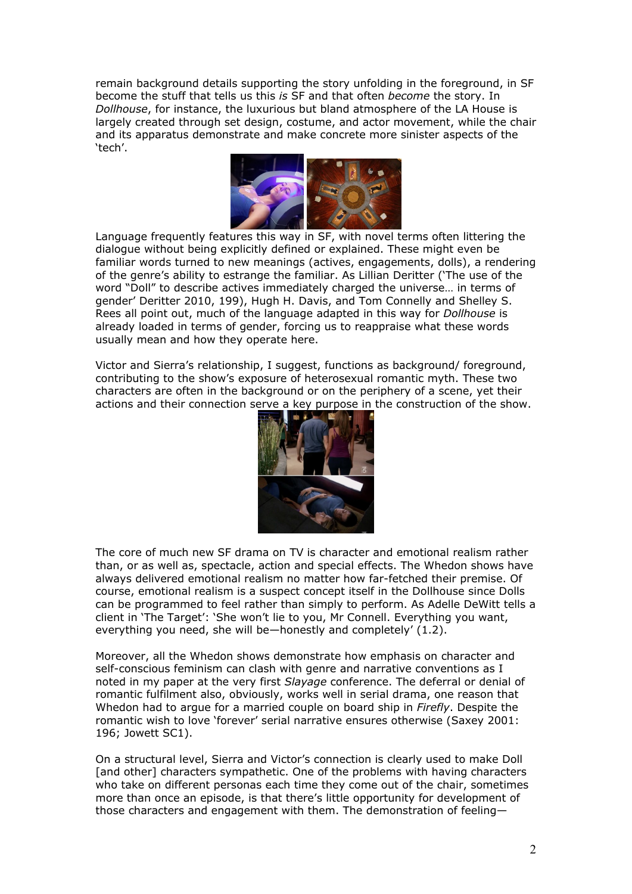remain background details supporting the story unfolding in the foreground, in SF become the stuff that tells us this *is* SF and that often *become* the story. In *Dollhouse*, for instance, the luxurious but bland atmosphere of the LA House is largely created through set design, costume, and actor movement, while the chair and its apparatus demonstrate and make concrete more sinister aspects of the 'tech'.



Language frequently features this way in SF, with novel terms often littering the dialogue without being explicitly defined or explained. These might even be familiar words turned to new meanings (actives, engagements, dolls), a rendering of the genre's ability to estrange the familiar. As Lillian Deritter ('The use of the word "Doll" to describe actives immediately charged the universe… in terms of gender' Deritter 2010, 199), Hugh H. Davis, and Tom Connelly and Shelley S. Rees all point out, much of the language adapted in this way for *Dollhouse* is already loaded in terms of gender, forcing us to reappraise what these words usually mean and how they operate here.

Victor and Sierra's relationship, I suggest, functions as background/ foreground, contributing to the show's exposure of heterosexual romantic myth. These two characters are often in the background or on the periphery of a scene, yet their actions and their connection serve a key purpose in the construction of the show.



The core of much new SF drama on TV is character and emotional realism rather than, or as well as, spectacle, action and special effects. The Whedon shows have always delivered emotional realism no matter how far-fetched their premise. Of course, emotional realism is a suspect concept itself in the Dollhouse since Dolls can be programmed to feel rather than simply to perform. As Adelle DeWitt tells a client in 'The Target': 'She won't lie to you, Mr Connell. Everything you want, everything you need, she will be—honestly and completely' (1.2).

Moreover, all the Whedon shows demonstrate how emphasis on character and self-conscious feminism can clash with genre and narrative conventions as I noted in my paper at the very first *Slayage* conference. The deferral or denial of romantic fulfilment also, obviously, works well in serial drama, one reason that Whedon had to argue for a married couple on board ship in *Firefly*. Despite the romantic wish to love 'forever' serial narrative ensures otherwise (Saxey 2001: 196; Jowett SC1).

On a structural level, Sierra and Victor's connection is clearly used to make Doll [and other] characters sympathetic. One of the problems with having characters who take on different personas each time they come out of the chair, sometimes more than once an episode, is that there's little opportunity for development of those characters and engagement with them. The demonstration of feeling—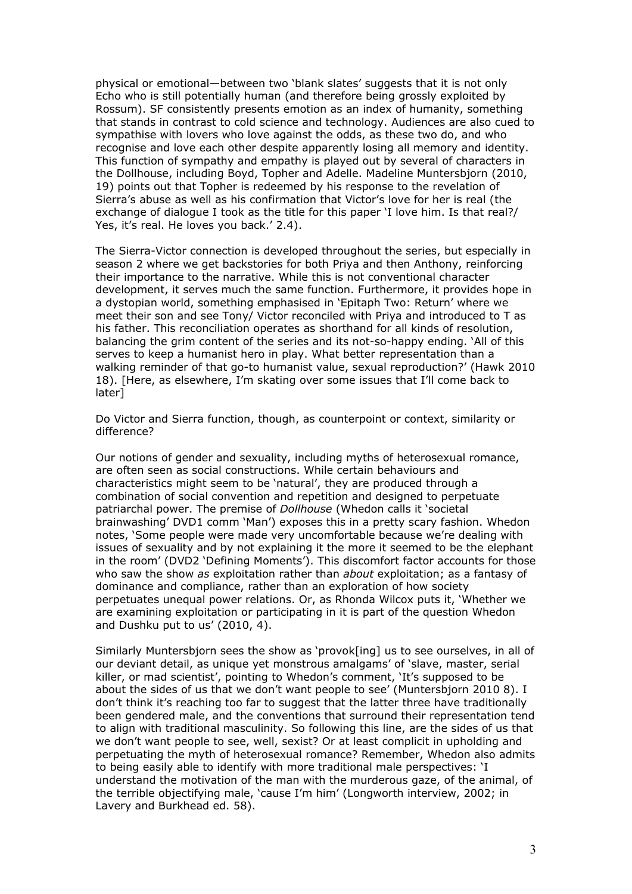physical or emotional—between two 'blank slates' suggests that it is not only Echo who is still potentially human (and therefore being grossly exploited by Rossum). SF consistently presents emotion as an index of humanity, something that stands in contrast to cold science and technology. Audiences are also cued to sympathise with lovers who love against the odds, as these two do, and who recognise and love each other despite apparently losing all memory and identity. This function of sympathy and empathy is played out by several of characters in the Dollhouse, including Boyd, Topher and Adelle. Madeline Muntersbjorn (2010, 19) points out that Topher is redeemed by his response to the revelation of Sierra's abuse as well as his confirmation that Victor's love for her is real (the exchange of dialogue I took as the title for this paper 'I love him. Is that real?/ Yes, it's real. He loves you back.' 2.4).

The Sierra-Victor connection is developed throughout the series, but especially in season 2 where we get backstories for both Priya and then Anthony, reinforcing their importance to the narrative. While this is not conventional character development, it serves much the same function. Furthermore, it provides hope in a dystopian world, something emphasised in 'Epitaph Two: Return' where we meet their son and see Tony/ Victor reconciled with Priya and introduced to T as his father. This reconciliation operates as shorthand for all kinds of resolution, balancing the grim content of the series and its not-so-happy ending. 'All of this serves to keep a humanist hero in play. What better representation than a walking reminder of that go-to humanist value, sexual reproduction?' (Hawk 2010 18). [Here, as elsewhere, I'm skating over some issues that I'll come back to later]

Do Victor and Sierra function, though, as counterpoint or context, similarity or difference?

Our notions of gender and sexuality, including myths of heterosexual romance, are often seen as social constructions. While certain behaviours and characteristics might seem to be 'natural', they are produced through a combination of social convention and repetition and designed to perpetuate patriarchal power. The premise of *Dollhouse* (Whedon calls it 'societal brainwashing' DVD1 comm 'Man') exposes this in a pretty scary fashion. Whedon notes, 'Some people were made very uncomfortable because we're dealing with issues of sexuality and by not explaining it the more it seemed to be the elephant in the room' (DVD2 'Defining Moments'). This discomfort factor accounts for those who saw the show *as* exploitation rather than *about* exploitation; as a fantasy of dominance and compliance, rather than an exploration of how society perpetuates unequal power relations. Or, as Rhonda Wilcox puts it, 'Whether we are examining exploitation or participating in it is part of the question Whedon and Dushku put to us' (2010, 4).

Similarly Muntersbjorn sees the show as 'provok[ing] us to see ourselves, in all of our deviant detail, as unique yet monstrous amalgams' of 'slave, master, serial killer, or mad scientist', pointing to Whedon's comment, 'It's supposed to be about the sides of us that we don't want people to see' (Muntersbjorn 2010 8). I don't think it's reaching too far to suggest that the latter three have traditionally been gendered male, and the conventions that surround their representation tend to align with traditional masculinity. So following this line, are the sides of us that we don't want people to see, well, sexist? Or at least complicit in upholding and perpetuating the myth of heterosexual romance? Remember, Whedon also admits to being easily able to identify with more traditional male perspectives: 'I understand the motivation of the man with the murderous gaze, of the animal, of the terrible objectifying male, 'cause I'm him' (Longworth interview, 2002; in Lavery and Burkhead ed. 58).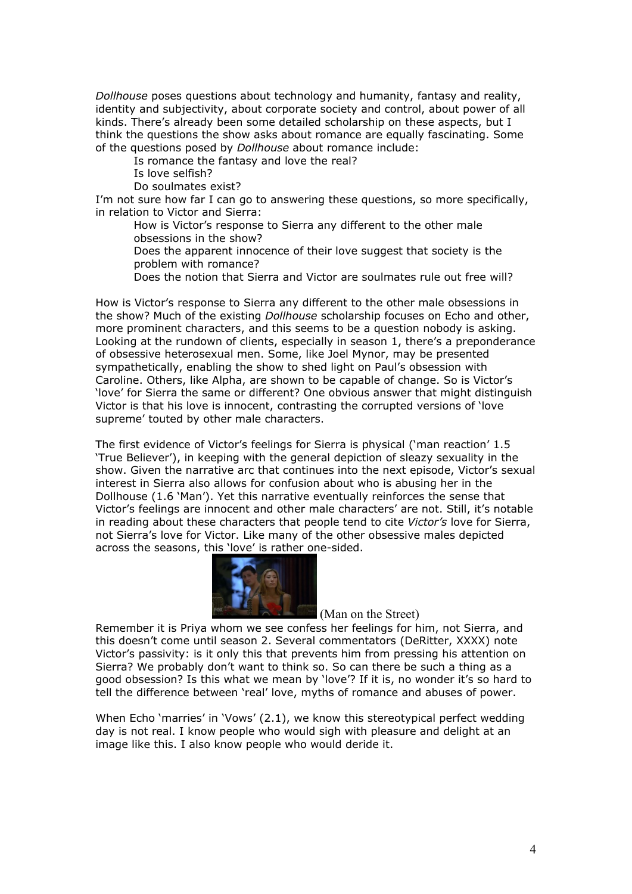*Dollhouse* poses questions about technology and humanity, fantasy and reality, identity and subjectivity, about corporate society and control, about power of all kinds. There's already been some detailed scholarship on these aspects, but I think the questions the show asks about romance are equally fascinating. Some of the questions posed by *Dollhouse* about romance include:

Is romance the fantasy and love the real?

Is love selfish?

Do soulmates exist?

I'm not sure how far I can go to answering these questions, so more specifically, in relation to Victor and Sierra:

- How is Victor's response to Sierra any different to the other male obsessions in the show?
- Does the apparent innocence of their love suggest that society is the problem with romance?
- Does the notion that Sierra and Victor are soulmates rule out free will?

How is Victor's response to Sierra any different to the other male obsessions in the show? Much of the existing *Dollhouse* scholarship focuses on Echo and other, more prominent characters, and this seems to be a question nobody is asking. Looking at the rundown of clients, especially in season 1, there's a preponderance of obsessive heterosexual men. Some, like Joel Mynor, may be presented sympathetically, enabling the show to shed light on Paul's obsession with Caroline. Others, like Alpha, are shown to be capable of change. So is Victor's 'love' for Sierra the same or different? One obvious answer that might distinguish Victor is that his love is innocent, contrasting the corrupted versions of 'love supreme' touted by other male characters.

The first evidence of Victor's feelings for Sierra is physical ('man reaction' 1.5 'True Believer'), in keeping with the general depiction of sleazy sexuality in the show. Given the narrative arc that continues into the next episode, Victor's sexual interest in Sierra also allows for confusion about who is abusing her in the Dollhouse (1.6 'Man'). Yet this narrative eventually reinforces the sense that Victor's feelings are innocent and other male characters' are not. Still, it's notable in reading about these characters that people tend to cite *Victor's* love for Sierra, not Sierra's love for Victor. Like many of the other obsessive males depicted across the seasons, this 'love' is rather one-sided.



(Man on the Street)

Remember it is Priya whom we see confess her feelings for him, not Sierra, and this doesn't come until season 2. Several commentators (DeRitter, XXXX) note Victor's passivity: is it only this that prevents him from pressing his attention on Sierra? We probably don't want to think so. So can there be such a thing as a good obsession? Is this what we mean by 'love'? If it is, no wonder it's so hard to tell the difference between 'real' love, myths of romance and abuses of power.

When Echo 'marries' in 'Vows' (2.1), we know this stereotypical perfect wedding day is not real. I know people who would sigh with pleasure and delight at an image like this. I also know people who would deride it.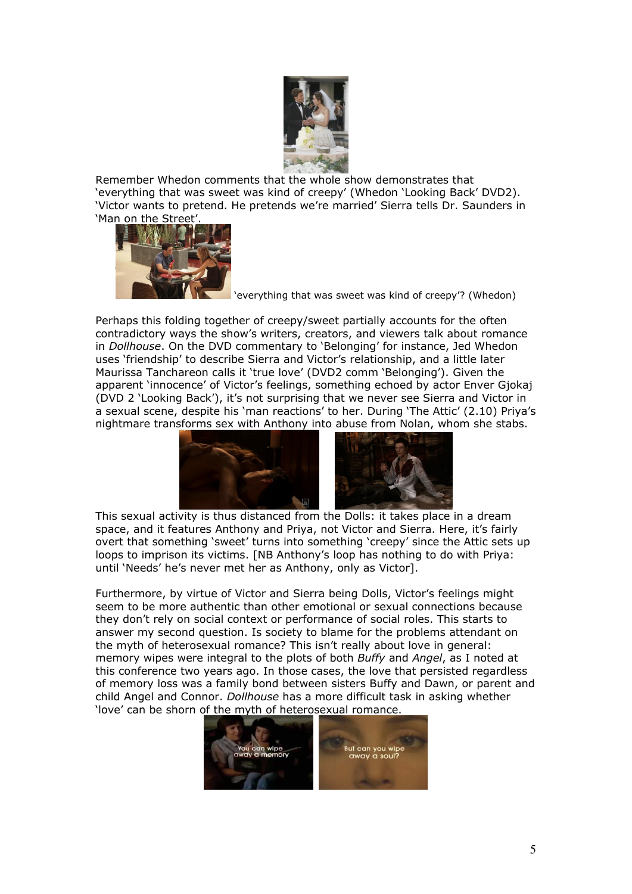

Remember Whedon comments that the whole show demonstrates that 'everything that was sweet was kind of creepy' (Whedon 'Looking Back' DVD2). 'Victor wants to pretend. He pretends we're married' Sierra tells Dr. Saunders in 'Man on the Street'.



'everything that was sweet was kind of creepy'? (Whedon)

Perhaps this folding together of creepy/sweet partially accounts for the often contradictory ways the show's writers, creators, and viewers talk about romance in *Dollhouse*. On the DVD commentary to 'Belonging' for instance, Jed Whedon uses 'friendship' to describe Sierra and Victor's relationship, and a little later Maurissa Tanchareon calls it 'true love' (DVD2 comm 'Belonging'). Given the apparent 'innocence' of Victor's feelings, something echoed by actor Enver Gjokaj (DVD 2 'Looking Back'), it's not surprising that we never see Sierra and Victor in a sexual scene, despite his 'man reactions' to her. During 'The Attic' (2.10) Priya's nightmare transforms sex with Anthony into abuse from Nolan, whom she stabs.



This sexual activity is thus distanced from the Dolls: it takes place in a dream space, and it features Anthony and Priya, not Victor and Sierra. Here, it's fairly overt that something 'sweet' turns into something 'creepy' since the Attic sets up loops to imprison its victims. [NB Anthony's loop has nothing to do with Priya: until 'Needs' he's never met her as Anthony, only as Victor].

Furthermore, by virtue of Victor and Sierra being Dolls, Victor's feelings might seem to be more authentic than other emotional or sexual connections because they don't rely on social context or performance of social roles. This starts to answer my second question. Is society to blame for the problems attendant on the myth of heterosexual romance? This isn't really about love in general: memory wipes were integral to the plots of both *Buffy* and *Angel*, as I noted at this conference two years ago. In those cases, the love that persisted regardless of memory loss was a family bond between sisters Buffy and Dawn, or parent and child Angel and Connor. *Dollhouse* has a more difficult task in asking whether 'love' can be shorn of the myth of heterosexual romance.

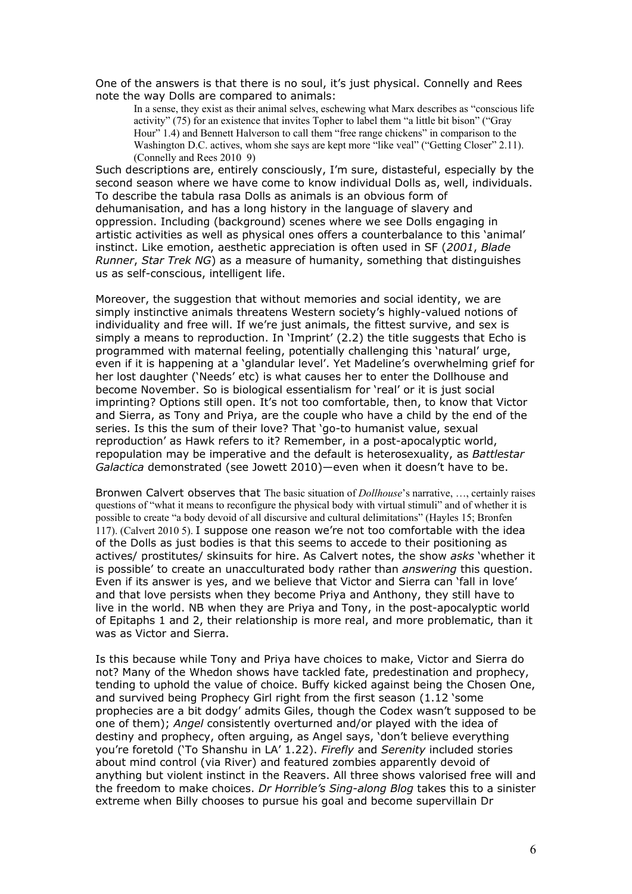One of the answers is that there is no soul, it's just physical. Connelly and Rees note the way Dolls are compared to animals:

In a sense, they exist as their animal selves, eschewing what Marx describes as "conscious life activity" (75) for an existence that invites Topher to label them "a little bit bison" ("Gray Hour" 1.4) and Bennett Halverson to call them "free range chickens" in comparison to the Washington D.C. actives, whom she says are kept more "like veal" ("Getting Closer" 2.11). (Connelly and Rees 2010 9)

Such descriptions are, entirely consciously, I'm sure, distasteful, especially by the second season where we have come to know individual Dolls as, well, individuals. To describe the tabula rasa Dolls as animals is an obvious form of dehumanisation, and has a long history in the language of slavery and oppression. Including (background) scenes where we see Dolls engaging in artistic activities as well as physical ones offers a counterbalance to this 'animal' instinct. Like emotion, aesthetic appreciation is often used in SF (*2001*, *Blade Runner*, *Star Trek NG*) as a measure of humanity, something that distinguishes us as self-conscious, intelligent life.

Moreover, the suggestion that without memories and social identity, we are simply instinctive animals threatens Western society's highly-valued notions of individuality and free will. If we're just animals, the fittest survive, and sex is simply a means to reproduction. In 'Imprint' (2.2) the title suggests that Echo is programmed with maternal feeling, potentially challenging this 'natural' urge, even if it is happening at a 'glandular level'. Yet Madeline's overwhelming grief for her lost daughter ('Needs' etc) is what causes her to enter the Dollhouse and become November. So is biological essentialism for 'real' or it is just social imprinting? Options still open. It's not too comfortable, then, to know that Victor and Sierra, as Tony and Priya, are the couple who have a child by the end of the series. Is this the sum of their love? That 'go-to humanist value, sexual reproduction' as Hawk refers to it? Remember, in a post-apocalyptic world, repopulation may be imperative and the default is heterosexuality, as *Battlestar Galactica* demonstrated (see Jowett 2010)—even when it doesn't have to be.

Bronwen Calvert observes that The basic situation of *Dollhouse*'s narrative, …, certainly raises questions of "what it means to reconfigure the physical body with virtual stimuli" and of whether it is possible to create "a body devoid of all discursive and cultural delimitations" (Hayles 15; Bronfen 117). (Calvert 2010 5). I suppose one reason we're not too comfortable with the idea of the Dolls as just bodies is that this seems to accede to their positioning as actives/ prostitutes/ skinsuits for hire. As Calvert notes, the show *asks* 'whether it is possible' to create an unacculturated body rather than *answering* this question. Even if its answer is yes, and we believe that Victor and Sierra can 'fall in love' and that love persists when they become Priya and Anthony, they still have to live in the world. NB when they are Priya and Tony, in the post-apocalyptic world of Epitaphs 1 and 2, their relationship is more real, and more problematic, than it was as Victor and Sierra.

Is this because while Tony and Priya have choices to make, Victor and Sierra do not? Many of the Whedon shows have tackled fate, predestination and prophecy, tending to uphold the value of choice. Buffy kicked against being the Chosen One, and survived being Prophecy Girl right from the first season (1.12 'some prophecies are a bit dodgy' admits Giles, though the Codex wasn't supposed to be one of them); *Angel* consistently overturned and/or played with the idea of destiny and prophecy, often arguing, as Angel says, 'don't believe everything you're foretold ('To Shanshu in LA' 1.22). *Firefly* and *Serenity* included stories about mind control (via River) and featured zombies apparently devoid of anything but violent instinct in the Reavers. All three shows valorised free will and the freedom to make choices. *Dr Horrible's Sing-along Blog* takes this to a sinister extreme when Billy chooses to pursue his goal and become supervillain Dr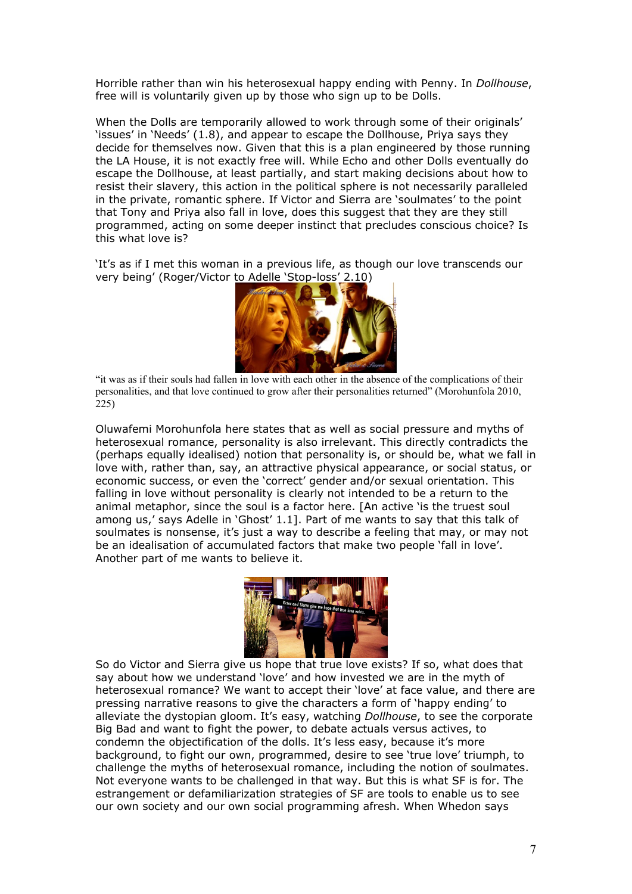Horrible rather than win his heterosexual happy ending with Penny. In *Dollhouse*, free will is voluntarily given up by those who sign up to be Dolls.

When the Dolls are temporarily allowed to work through some of their originals' 'issues' in 'Needs' (1.8), and appear to escape the Dollhouse, Priya says they decide for themselves now. Given that this is a plan engineered by those running the LA House, it is not exactly free will. While Echo and other Dolls eventually do escape the Dollhouse, at least partially, and start making decisions about how to resist their slavery, this action in the political sphere is not necessarily paralleled in the private, romantic sphere. If Victor and Sierra are 'soulmates' to the point that Tony and Priya also fall in love, does this suggest that they are they still programmed, acting on some deeper instinct that precludes conscious choice? Is this what love is?

'It's as if I met this woman in a previous life, as though our love transcends our very being' (Roger/Victor to Adelle 'Stop-loss' 2.10)



"it was as if their souls had fallen in love with each other in the absence of the complications of their personalities, and that love continued to grow after their personalities returned" (Morohunfola 2010, 225)

Oluwafemi Morohunfola here states that as well as social pressure and myths of heterosexual romance, personality is also irrelevant. This directly contradicts the (perhaps equally idealised) notion that personality is, or should be, what we fall in love with, rather than, say, an attractive physical appearance, or social status, or economic success, or even the 'correct' gender and/or sexual orientation. This falling in love without personality is clearly not intended to be a return to the animal metaphor, since the soul is a factor here. [An active 'is the truest soul among us,' says Adelle in 'Ghost' 1.1]. Part of me wants to say that this talk of soulmates is nonsense, it's just a way to describe a feeling that may, or may not be an idealisation of accumulated factors that make two people 'fall in love'. Another part of me wants to believe it.



So do Victor and Sierra give us hope that true love exists? If so, what does that say about how we understand 'love' and how invested we are in the myth of heterosexual romance? We want to accept their 'love' at face value, and there are pressing narrative reasons to give the characters a form of 'happy ending' to alleviate the dystopian gloom. It's easy, watching *Dollhouse*, to see the corporate Big Bad and want to fight the power, to debate actuals versus actives, to condemn the objectification of the dolls. It's less easy, because it's more background, to fight our own, programmed, desire to see 'true love' triumph, to challenge the myths of heterosexual romance, including the notion of soulmates. Not everyone wants to be challenged in that way. But this is what SF is for. The estrangement or defamiliarization strategies of SF are tools to enable us to see our own society and our own social programming afresh. When Whedon says